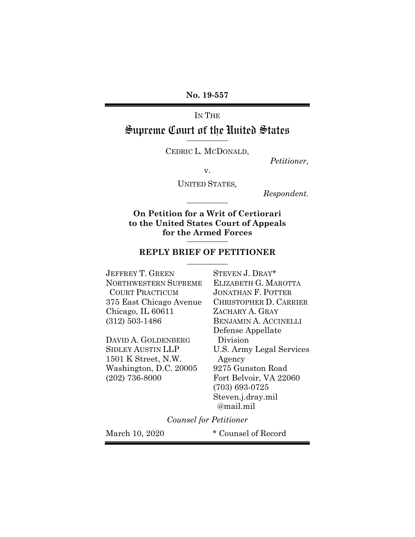**No. 19-557**

IN THE Supreme Court of the United States **\_\_\_\_\_\_\_\_\_\_\_**

CEDRIC L. MCDONALD,

*Petitioner,*

v.

UNITED STATES*,*

*Respondent.* **\_\_\_\_\_\_\_\_\_\_\_**

**On Petition for a Writ of Certiorari to the United States Court of Appeals for the Armed Forces \_\_\_\_\_\_\_\_\_\_\_**

## **REPLY BRIEF OF PETITIONER \_\_\_\_\_\_\_\_\_\_\_**

JEFFREY T. GREEN STEVEN J. DRAY\* NORTHWESTERN SUPREME ELIZABETH G. MAROTTA COURT PRACTICUM JONATHAN F. POTTER Chicago, IL 60611 ZACHARY A. GRAY (312) 503-1486 BENJAMIN A. ACCINELLI

DAVID A. GOLDENBERG Division 1501 K Street, N.W. Agency Washington, D.C. 20005 9275 Gunston Road (202) 736-8000 Fort Belvoir, VA 22060

375 East Chicago Avenue CHRISTOPHER D. CARRIER Defense Appellate SIDLEY AUSTIN LLP U.S. Army Legal Services (703) 693-0725 Steven.j.dray.mil @mail.mil

*Counsel for Petitioner*

March 10, 2020 \* Counsel of Record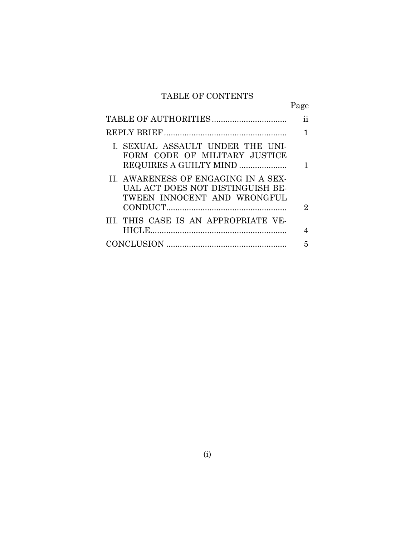# TABLE OF CONTENTS

Page

| I. SEXUAL ASSAULT UNDER THE UNI-<br>FORM CODE OF MILITARY JUSTICE<br>REQUIRES A GUILTY MIND            |   |
|--------------------------------------------------------------------------------------------------------|---|
| II. AWARENESS OF ENGAGING IN A SEX-<br>UAL ACT DOES NOT DISTINGUISH BE-<br>TWEEN INNOCENT AND WRONGFUL | 2 |
| III. THIS CASE IS AN APPROPRIATE VE-                                                                   |   |
|                                                                                                        |   |
|                                                                                                        | 5 |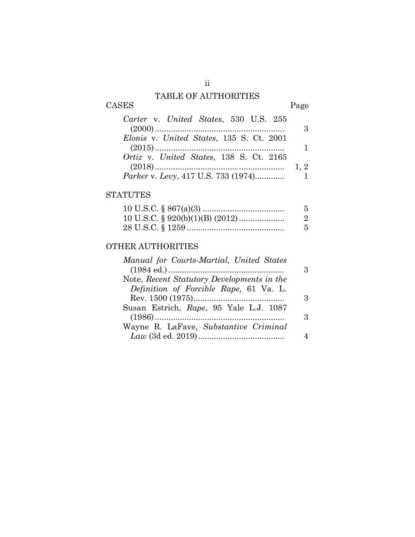## TABLE OF AUTHORITIES

# CASES Page

| Carter v. United States, 530 U.S. 255        |     |
|----------------------------------------------|-----|
|                                              |     |
| Elonis v. United States, 135 S. Ct. 2001     |     |
|                                              |     |
| Ortiz v. United States, 138 S. Ct. 2165      |     |
|                                              | 1.2 |
| <i>Parker v. Levy, 417 U.S. 733 (1974)</i> 1 |     |

## **STATUTES**

| 5. |
|----|
| -2 |
| -5 |

## OTHER AUTHORITIES

| Manual for Courts-Martial, United States   |   |
|--------------------------------------------|---|
|                                            | R |
| Note, Recent Statutory Developments in the |   |
| Definition of Forcible Rape, 61 Va. L.     |   |
|                                            | ર |
| Susan Estrich, Rape, 95 Yale L.J. 1087     |   |
|                                            | 3 |
| Wayne R. LaFave, Substantive Criminal      |   |
|                                            |   |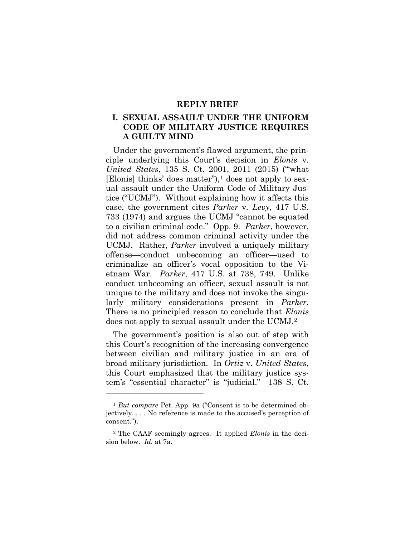### **REPLY BRIEF**

## **I. SEXUAL ASSAULT UNDER THE UNIFORM CODE OF MILITARY JUSTICE REQUIRES A GUILTY MIND**

Under the government's flawed argument, the principle underlying this Court's decision in *Elonis* v. *United States*, 135 S. Ct. 2001, 2011 (2015) ("'what [Elonis] thinks' does matter"), $\frac{1}{1}$  does not apply to sexual assault under the Uniform Code of Military Justice ("UCMJ"). Without explaining how it affects this case, the government cites *Parker* v*. Levy*, 417 U.S. 733 (1974) and argues the UCMJ "cannot be equated to a civilian criminal code." Opp. 9. *Parker*, however, did not address common criminal activity under the UCMJ. Rather, *Parker* involved a uniquely military offense—conduct unbecoming an officer—used to criminalize an officer's vocal opposition to the Vietnam War. *Parker*, 417 U.S. at 738, 749. Unlike conduct unbecoming an officer, sexual assault is not unique to the military and does not invoke the singularly military considerations present in *Parker*. There is no principled reason to conclude that *Elonis* does not apply to sexual assault under the UCMJ.2

The government's position is also out of step with this Court's recognition of the increasing convergence between civilian and military justice in an era of broad military jurisdiction. In *Ortiz* v. *United States*, this Court emphasized that the military justice system's "essential character" is "judicial." 138 S. Ct.

 $\overline{a}$ 

<sup>1</sup> *But compare* Pet. App. 9a ("Consent is to be determined objectively. . . . No reference is made to the accused's perception of consent.").

<sup>2</sup> The CAAF seemingly agrees. It applied *Elonis* in the decision below. *Id.* at 7a.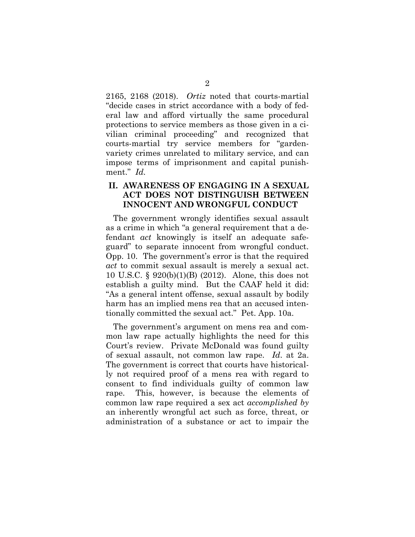2165, 2168 (2018). *Ortiz* noted that courts-martial "decide cases in strict accordance with a body of federal law and afford virtually the same procedural protections to service members as those given in a civilian criminal proceeding" and recognized that courts-martial try service members for "gardenvariety crimes unrelated to military service, and can impose terms of imprisonment and capital punishment." *Id.*

## **II. AWARENESS OF ENGAGING IN A SEXUAL ACT DOES NOT DISTINGUISH BETWEEN INNOCENT AND WRONGFUL CONDUCT**

The government wrongly identifies sexual assault as a crime in which "a general requirement that a defendant *act* knowingly is itself an adequate safeguard" to separate innocent from wrongful conduct. Opp. 10. The government's error is that the required *act* to commit sexual assault is merely a sexual act. 10 U.S.C. § 920(b)(1)(B) (2012). Alone, this does not establish a guilty mind. But the CAAF held it did: "As a general intent offense, sexual assault by bodily harm has an implied mens rea that an accused intentionally committed the sexual act." Pet. App. 10a.

The government's argument on mens rea and common law rape actually highlights the need for this Court's review. Private McDonald was found guilty of sexual assault, not common law rape. *Id*. at 2a. The government is correct that courts have historically not required proof of a mens rea with regard to consent to find individuals guilty of common law rape. This, however, is because the elements of common law rape required a sex act *accomplished by* an inherently wrongful act such as force, threat, or administration of a substance or act to impair the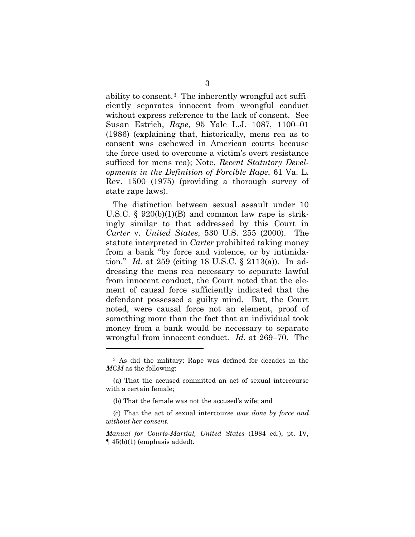ability to consent.3 The inherently wrongful act sufficiently separates innocent from wrongful conduct without express reference to the lack of consent. See Susan Estrich, *Rape*, 95 Yale L.J. 1087, 1100–01 (1986) (explaining that, historically, mens rea as to consent was eschewed in American courts because the force used to overcome a victim's overt resistance sufficed for mens rea); Note, *Recent Statutory Developments in the Definition of Forcible Rape*, 61 Va. L. Rev. 1500 (1975) (providing a thorough survey of state rape laws).

The distinction between sexual assault under 10 U.S.C.  $\S$  920(b)(1)(B) and common law rape is strikingly similar to that addressed by this Court in *Carter* v*. United States*, 530 U.S. 255 (2000). The statute interpreted in *Carter* prohibited taking money from a bank "by force and violence, or by intimidation." *Id.* at 259 (citing 18 U.S.C. § 2113(a)). In addressing the mens rea necessary to separate lawful from innocent conduct, the Court noted that the element of causal force sufficiently indicated that the defendant possessed a guilty mind. But, the Court noted, were causal force not an element, proof of something more than the fact that an individual took money from a bank would be necessary to separate wrongful from innocent conduct. *Id*. at 269–70. The

 $\overline{a}$ 

<sup>3</sup> As did the military: Rape was defined for decades in the *MCM* as the following:

<sup>(</sup>a) That the accused committed an act of sexual intercourse with a certain female;

<sup>(</sup>b) That the female was not the accused's wife; and

<sup>(</sup>c) That the act of sexual intercourse *was done by force and without her consent*.

*Manual for Courts-Martial, United States* (1984 ed.), pt. IV,  $\P$  45(b)(1) (emphasis added).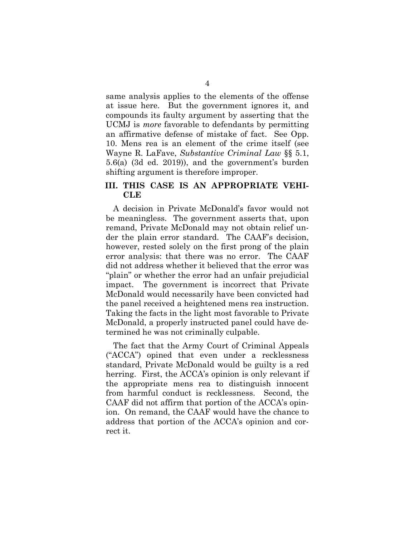same analysis applies to the elements of the offense at issue here. But the government ignores it, and compounds its faulty argument by asserting that the UCMJ is *more* favorable to defendants by permitting an affirmative defense of mistake of fact. See Opp. 10. Mens rea is an element of the crime itself (see Wayne R. LaFave, *Substantive Criminal Law* §§ 5.1, 5.6(a) (3d ed. 2019)), and the government's burden shifting argument is therefore improper.

## **III. THIS CASE IS AN APPROPRIATE VEHI-CLE**

A decision in Private McDonald's favor would not be meaningless. The government asserts that, upon remand, Private McDonald may not obtain relief under the plain error standard. The CAAF's decision, however, rested solely on the first prong of the plain error analysis: that there was no error. The CAAF did not address whether it believed that the error was "plain" or whether the error had an unfair prejudicial impact. The government is incorrect that Private McDonald would necessarily have been convicted had the panel received a heightened mens rea instruction. Taking the facts in the light most favorable to Private McDonald, a properly instructed panel could have determined he was not criminally culpable.

The fact that the Army Court of Criminal Appeals ("ACCA") opined that even under a recklessness standard, Private McDonald would be guilty is a red herring. First, the ACCA's opinion is only relevant if the appropriate mens rea to distinguish innocent from harmful conduct is recklessness. Second, the CAAF did not affirm that portion of the ACCA's opinion. On remand, the CAAF would have the chance to address that portion of the ACCA's opinion and correct it.